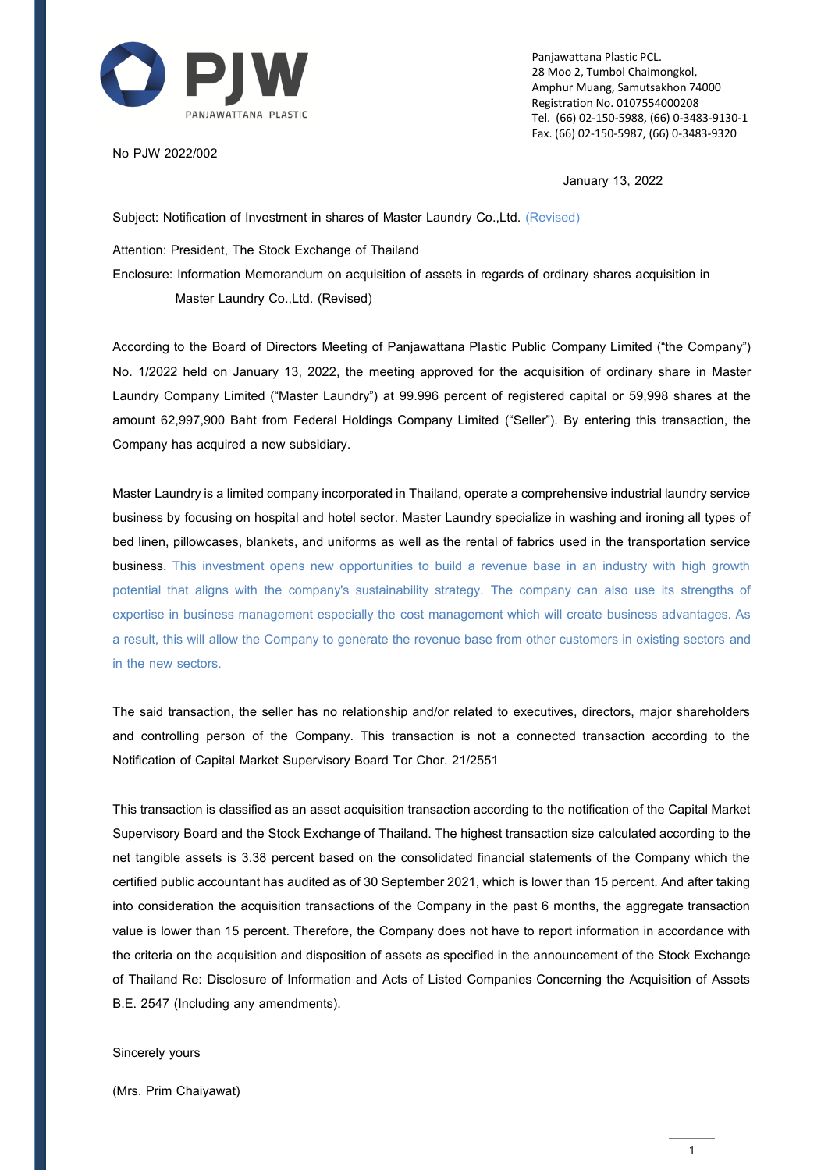

No PJW 2022/002

Panjawattana Plastic PCL. 28 Moo 2, Tumbol Chaimongkol, Amphur Muang, Samutsakhon 74000 Registration No. 0107554000208 Tel. (66) 02-150-5988, (66) 0-3483-9130-1 Fax. (66) 02-150-5987, (66) 0-3483-9320

January 13, 2022

Subject: Notification of Investment in shares of Master Laundry Co.,Ltd. (Revised)

Attention: President, The Stock Exchange of Thailand

Enclosure: Information Memorandum on acquisition of assets in regards of ordinary shares acquisition in Master Laundry Co.,Ltd. (Revised)

According to the Board of Directors Meeting of Panjawattana Plastic Public Company Limited ("the Company") No. 1/2022 held on January 13, 2022, the meeting approved for the acquisition of ordinary share in Master Laundry Company Limited ("Master Laundry") at 99.996 percent of registered capital or 59,998 shares at the amount 62,997,900 Baht from Federal Holdings Company Limited ("Seller"). By entering this transaction, the Company has acquired a new subsidiary.

Master Laundry is a limited company incorporated in Thailand, operate a comprehensive industrial laundry service business by focusing on hospital and hotel sector. Master Laundry specialize in washing and ironing all types of bed linen, pillowcases, blankets, and uniforms as well as the rental of fabrics used in the transportation service business. This investment opens new opportunities to build a revenue base in an industry with high growth potential that aligns with the company's sustainability strategy. The company can also use its strengths of expertise in business management especially the cost management which will create business advantages. As a result, this will allow the Company to generate the revenue base from other customers in existing sectors and in the new sectors.

The said transaction, the seller has no relationship and/or related to executives, directors, major shareholders and controlling person of the Company. This transaction is not a connected transaction according to the Notification of Capital Market Supervisory Board Tor Chor. 21/2551

This transaction is classified as an asset acquisition transaction according to the notification of the Capital Market Supervisory Board and the Stock Exchange of Thailand. The highest transaction size calculated according to the net tangible assets is 3.38 percent based on the consolidated financial statements of the Company which the certified public accountant has audited as of 30 September 2021, which is lower than 15 percent. And after taking into consideration the acquisition transactions of the Company in the past 6 months, the aggregate transaction value is lower than 15 percent. Therefore, the Company does not have to report information in accordance with the criteria on the acquisition and disposition of assets as specified in the announcement of the Stock Exchange of Thailand Re: Disclosure of Information and Acts of Listed Companies Concerning the Acquisition of Assets B.E. 2547 (Including any amendments).

#### Sincerely yours

(Mrs. Prim Chaiyawat)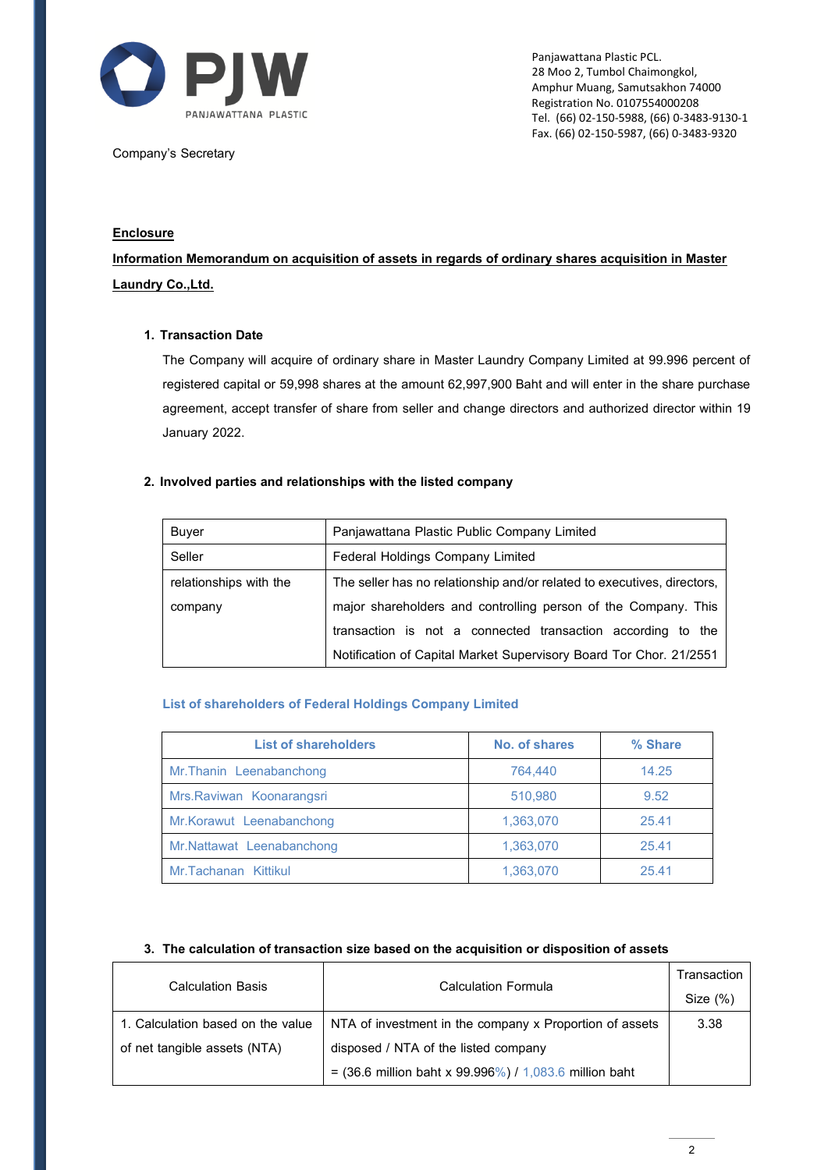

Company's Secretary

Panjawattana Plastic PCL. 28 Moo 2, Tumbol Chaimongkol, Amphur Muang, Samutsakhon 74000 Registration No. 0107554000208 Tel. (66) 02-150-5988, (66) 0-3483-9130-1 Fax. (66) 02-150-5987, (66) 0-3483-9320

# **Enclosure**

**Information Memorandum on acquisition of assets in regards of ordinary shares acquisition in Master Laundry Co.,Ltd.**

## **1. Transaction Date**

The Company will acquire of ordinary share in Master Laundry Company Limited at 99.996 percent of registered capital or 59,998 shares at the amount 62,997,900 Baht and will enter in the share purchase agreement, accept transfer of share from seller and change directors and authorized director within 19 January 2022.

## **2. Involved parties and relationships with the listed company**

| <b>Buyer</b>           | Panjawattana Plastic Public Company Limited                             |  |  |
|------------------------|-------------------------------------------------------------------------|--|--|
| Seller                 | <b>Federal Holdings Company Limited</b>                                 |  |  |
| relationships with the | The seller has no relationship and/or related to executives, directors, |  |  |
| company                | major shareholders and controlling person of the Company. This          |  |  |
|                        | transaction is not a connected transaction according to the             |  |  |
|                        | Notification of Capital Market Supervisory Board Tor Chor. 21/2551      |  |  |

# **List of shareholders of Federal Holdings Company Limited**

| <b>List of shareholders</b> | No. of shares | % Share |
|-----------------------------|---------------|---------|
| Mr. Thanin Leenabanchong    | 764.440       | 14.25   |
| Mrs. Raviwan Koonarangsri   | 510,980       | 9.52    |
| Mr. Korawut Leenabanchong   | 1,363,070     | 25.41   |
| Mr.Nattawat Leenabanchong   | 1,363,070     | 25.41   |
| Mr.Tachanan Kittikul        | 1.363.070     | 25.41   |

### **3. The calculation of transaction size based on the acquisition or disposition of assets**

| <b>Calculation Basis</b>          | <b>Calculation Formula</b>                                                 | Transaction |
|-----------------------------------|----------------------------------------------------------------------------|-------------|
|                                   |                                                                            | Size $(\%)$ |
| 1. Calculation based on the value | NTA of investment in the company x Proportion of assets                    | 3.38        |
| of net tangible assets (NTA)      | disposed / NTA of the listed company                                       |             |
|                                   | = $(36.6 \text{ million bath x } 99.996\%) / 1,083.6 \text{ million bath}$ |             |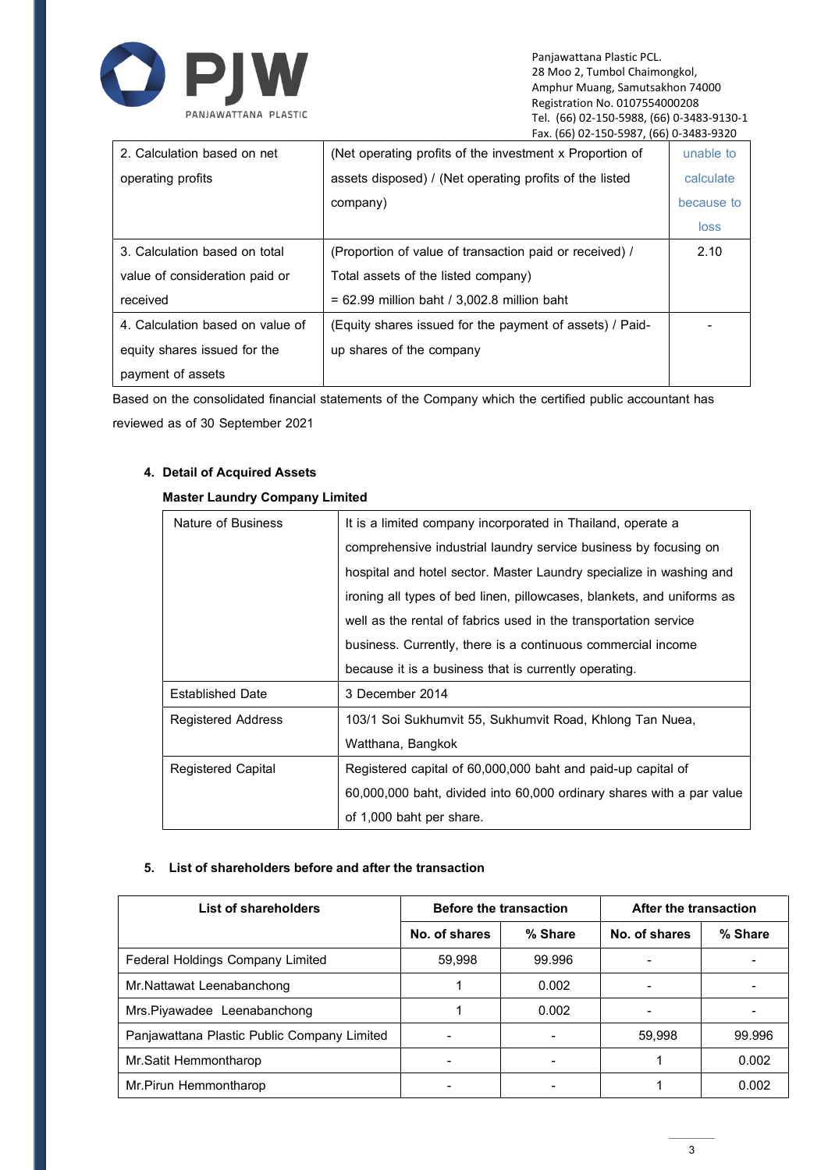

Panjawattana Plastic PCL. 28 Moo 2, Tumbol Chaimongkol, Amphur Muang, Samutsakhon 74000 Registration No. 0107554000208 Tel. (66) 02-150-5988, (66) 0-3483-9130-1 Fax. (66) 02-150-5987, (66) 0-3483-9320

| 2. Calculation based on net      | (Net operating profits of the investment x Proportion of | unable to  |
|----------------------------------|----------------------------------------------------------|------------|
| operating profits                | assets disposed) / (Net operating profits of the listed  | calculate  |
|                                  | company)                                                 | because to |
|                                  |                                                          | loss       |
| 3. Calculation based on total    | (Proportion of value of transaction paid or received) /  | 2.10       |
| value of consideration paid or   | Total assets of the listed company)                      |            |
| received                         | $= 62.99$ million baht / 3.002.8 million baht            |            |
| 4. Calculation based on value of | (Equity shares issued for the payment of assets) / Paid- |            |
| equity shares issued for the     | up shares of the company                                 |            |
| payment of assets                |                                                          |            |

Based on the consolidated financial statements of the Company which the certified public accountant has reviewed as of 30 September 2021

# **4. Detail of Acquired Assets**

| Nature of Business      | It is a limited company incorporated in Thailand, operate a            |  |  |
|-------------------------|------------------------------------------------------------------------|--|--|
|                         | comprehensive industrial laundry service business by focusing on       |  |  |
|                         | hospital and hotel sector. Master Laundry specialize in washing and    |  |  |
|                         | ironing all types of bed linen, pillowcases, blankets, and uniforms as |  |  |
|                         | well as the rental of fabrics used in the transportation service       |  |  |
|                         | business. Currently, there is a continuous commercial income           |  |  |
|                         | because it is a business that is currently operating.                  |  |  |
| <b>Established Date</b> | 3 December 2014                                                        |  |  |
| Registered Address      | 103/1 Soi Sukhumvit 55, Sukhumvit Road, Khlong Tan Nuea,               |  |  |
|                         | Watthana, Bangkok                                                      |  |  |
| Registered Capital      | Registered capital of 60,000,000 baht and paid-up capital of           |  |  |
|                         | 60,000,000 baht, divided into 60,000 ordinary shares with a par value  |  |  |
|                         | of 1,000 baht per share.                                               |  |  |

### **Master Laundry Company Limited**

### **5. List of shareholders before and after the transaction**

| List of shareholders                        | <b>Before the transaction</b> |         | After the transaction |         |
|---------------------------------------------|-------------------------------|---------|-----------------------|---------|
|                                             | No. of shares                 | % Share | No. of shares         | % Share |
| <b>Federal Holdings Company Limited</b>     | 59,998                        | 99.996  |                       |         |
| Mr.Nattawat Leenabanchong                   |                               | 0.002   |                       |         |
| Mrs. Piyawadee Leenabanchong                |                               | 0.002   |                       |         |
| Panjawattana Plastic Public Company Limited |                               |         | 59.998                | 99.996  |
| Mr.Satit Hemmontharop                       |                               |         |                       | 0.002   |
| Mr.Pirun Hemmontharop                       |                               |         |                       | 0.002   |